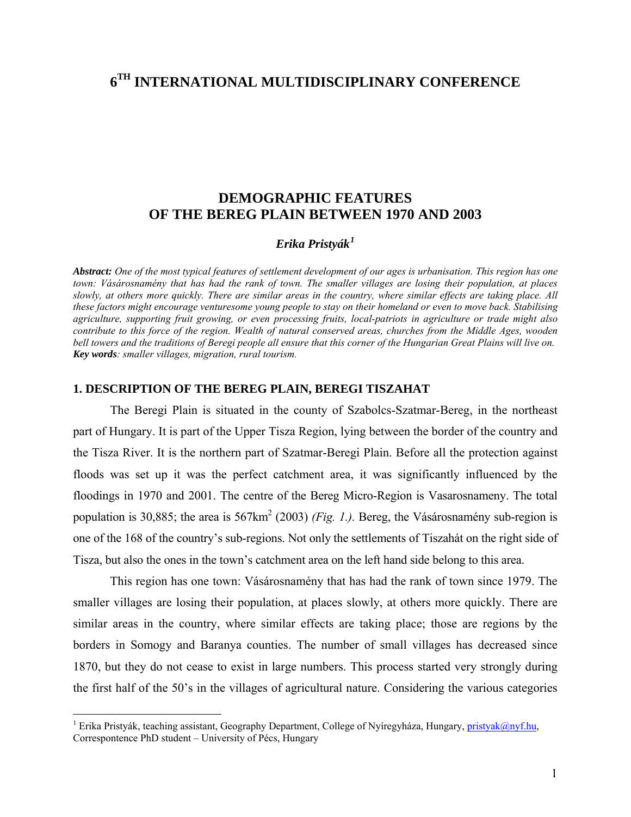# **6TH INTERNATIONAL MULTIDISCIPLINARY CONFERENCE**

## **DEMOGRAPHIC FEATURES OF THE BEREG PLAIN BETWEEN 1970 AND 2003**

#### *Erika Pristyák[1](#page-0-0)*

*Abstract: One of the most typical features of settlement development of our ages is urbanisation. This region has one town: Vásárosnamény that has had the rank of town. The smaller villages are losing their population, at places slowly, at others more quickly. There are similar areas in the country, where similar effects are taking place. All these factors might encourage venturesome young people to stay on their homeland or even to move back. Stabilising agriculture, supporting fruit growing, or even processing fruits, local-patriots in agriculture or trade might also contribute to this force of the region. Wealth of natural conserved areas, churches from the Middle Ages, wooden bell towers and the traditions of Beregi people all ensure that this corner of the Hungarian Great Plains will live on. Key words: smaller villages, migration, rural tourism.* 

#### **1. DESCRIPTION OF THE BEREG PLAIN, BEREGI TISZAHAT**

The Beregi Plain is situated in the county of Szabolcs-Szatmar-Bereg, in the northeast part of Hungary. It is part of the Upper Tisza Region, lying between the border of the country and the Tisza River. It is the northern part of Szatmar-Beregi Plain. Before all the protection against floods was set up it was the perfect catchment area, it was significantly influenced by the floodings in 1970 and 2001. The centre of the Bereg Micro-Region is Vasarosnameny. The total population is 30,885; the area is 567km<sup>2</sup> (2003) *(Fig. 1.)*. Bereg, the Vásárosnamény sub-region is one of the 168 of the country's sub-regions. Not only the settlements of Tiszahát on the right side of Tisza, but also the ones in the town's catchment area on the left hand side belong to this area.

This region has one town: Vásárosnamény that has had the rank of town since 1979. The smaller villages are losing their population, at places slowly, at others more quickly. There are similar areas in the country, where similar effects are taking place; those are regions by the borders in Somogy and Baranya counties. The number of small villages has decreased since 1870, but they do not cease to exist in large numbers. This process started very strongly during the first half of the 50's in the villages of agricultural nature. Considering the various categories

 $\overline{a}$ 

<span id="page-0-0"></span><sup>&</sup>lt;sup>1</sup> Erika Pristyák, teaching assistant, Geography Department, College of Nyíregyháza, Hungary, [pristyak@nyf.hu,](mailto:pristyak@nyf.hu) Correspontence PhD student – University of Pécs, Hungary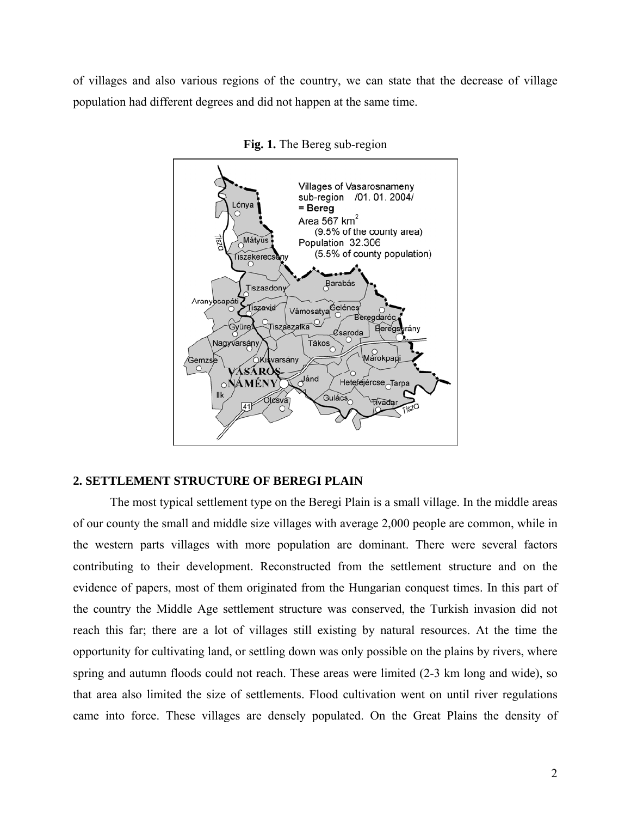of villages and also various regions of the country, we can state that the decrease of village population had different degrees and did not happen at the same time.



**Fig. 1.** The Bereg sub-region

### **2. SETTLEMENT STRUCTURE OF BEREGI PLAIN**

The most typical settlement type on the Beregi Plain is a small village. In the middle areas of our county the small and middle size villages with average 2,000 people are common, while in the western parts villages with more population are dominant. There were several factors contributing to their development. Reconstructed from the settlement structure and on the evidence of papers, most of them originated from the Hungarian conquest times. In this part of the country the Middle Age settlement structure was conserved, the Turkish invasion did not reach this far; there are a lot of villages still existing by natural resources. At the time the opportunity for cultivating land, or settling down was only possible on the plains by rivers, where spring and autumn floods could not reach. These areas were limited (2-3 km long and wide), so that area also limited the size of settlements. Flood cultivation went on until river regulations came into force. These villages are densely populated. On the Great Plains the density of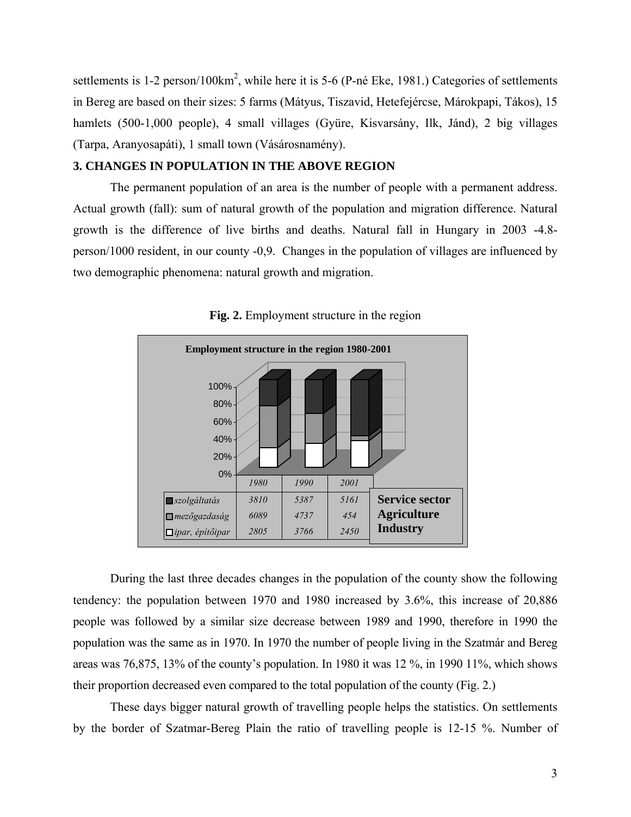settlements is  $1-2$  person/ $100 \text{km}^2$ , while here it is  $5-6$  (P-né Eke, 1981.) Categories of settlements in Bereg are based on their sizes: 5 farms (Mátyus, Tiszavid, Hetefejércse, Márokpapi, Tákos), 15 hamlets (500-1,000 people), 4 small villages (Gyüre, Kisvarsány, Ilk, Jánd), 2 big villages (Tarpa, Aranyosapáti), 1 small town (Vásárosnamény).

### **3. CHANGES IN POPULATION IN THE ABOVE REGION**

The permanent population of an area is the number of people with a permanent address. Actual growth (fall): sum of natural growth of the population and migration difference. Natural growth is the difference of live births and deaths. Natural fall in Hungary in 2003 -4.8 person/1000 resident, in our county -0,9. Changes in the population of villages are influenced by two demographic phenomena: natural growth and migration.



**Fig. 2.** Employment structure in the region

 During the last three decades changes in the population of the county show the following tendency: the population between 1970 and 1980 increased by 3.6%, this increase of 20,886 people was followed by a similar size decrease between 1989 and 1990, therefore in 1990 the population was the same as in 1970. In 1970 the number of people living in the Szatmár and Bereg areas was 76,875, 13% of the county's population. In 1980 it was 12 %, in 1990 11%, which shows their proportion decreased even compared to the total population of the county (Fig. 2.)

 These days bigger natural growth of travelling people helps the statistics. On settlements by the border of Szatmar-Bereg Plain the ratio of travelling people is 12-15 %. Number of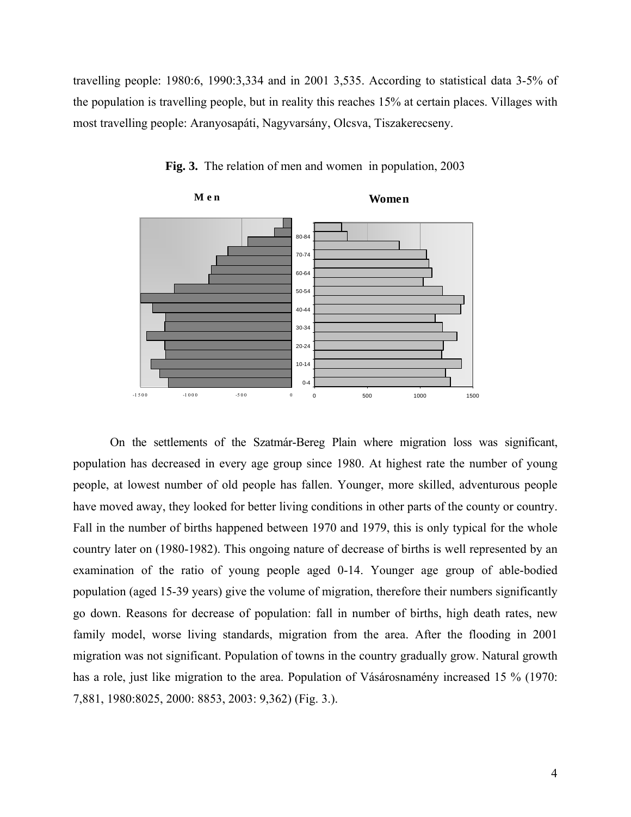travelling people: 1980:6, 1990:3,334 and in 2001 3,535. According to statistical data 3-5% of the population is travelling people, but in reality this reaches 15% at certain places. Villages with most travelling people: Aranyosapáti, Nagyvarsány, Olcsva, Tiszakerecseny.



**Fig. 3.** The relation of men and women in population, 2003

 On the settlements of the Szatmár-Bereg Plain where migration loss was significant, population has decreased in every age group since 1980. At highest rate the number of young people, at lowest number of old people has fallen. Younger, more skilled, adventurous people have moved away, they looked for better living conditions in other parts of the county or country. Fall in the number of births happened between 1970 and 1979, this is only typical for the whole country later on (1980-1982). This ongoing nature of decrease of births is well represented by an examination of the ratio of young people aged 0-14. Younger age group of able-bodied population (aged 15-39 years) give the volume of migration, therefore their numbers significantly go down. Reasons for decrease of population: fall in number of births, high death rates, new family model, worse living standards, migration from the area. After the flooding in 2001 migration was not significant. Population of towns in the country gradually grow. Natural growth has a role, just like migration to the area. Population of Vásárosnamény increased 15 % (1970: 7,881, 1980:8025, 2000: 8853, 2003: 9,362) (Fig. 3.).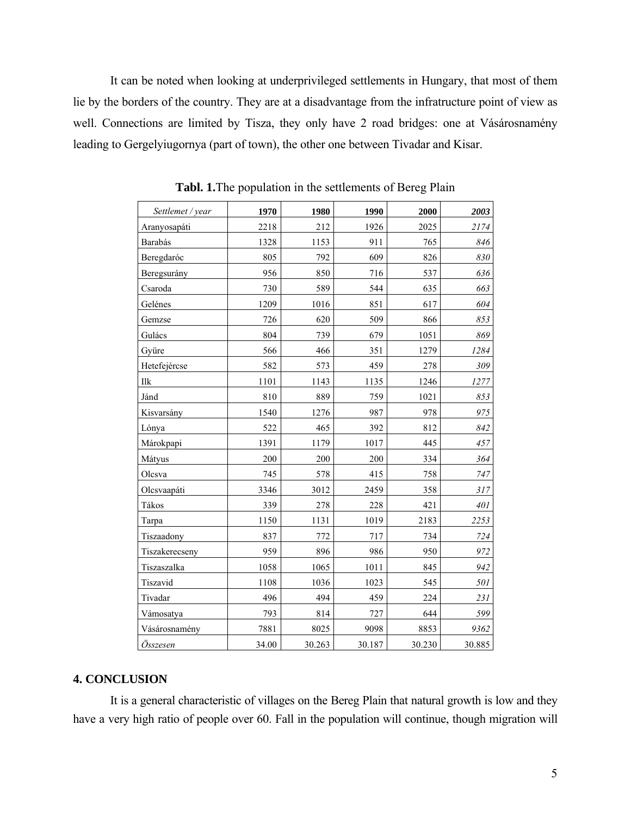It can be noted when looking at underprivileged settlements in Hungary, that most of them lie by the borders of the country. They are at a disadvantage from the infratructure point of view as well. Connections are limited by Tisza, they only have 2 road bridges: one at Vásárosnamény leading to Gergelyiugornya (part of town), the other one between Tivadar and Kisar.

| Settlemet / year | 1970  | 1980   | 1990   | 2000   | 2003   |
|------------------|-------|--------|--------|--------|--------|
| Aranyosapáti     | 2218  | 212    | 1926   | 2025   | 2174   |
| Barabás          | 1328  | 1153   | 911    | 765    | 846    |
| Beregdaróc       | 805   | 792    | 609    | 826    | 830    |
| Beregsurány      | 956   | 850    | 716    | 537    | 636    |
| Csaroda          | 730   | 589    | 544    | 635    | 663    |
| Gelénes          | 1209  | 1016   | 851    | 617    | 604    |
| Gemzse           | 726   | 620    | 509    | 866    | 853    |
| Gulács           | 804   | 739    | 679    | 1051   | 869    |
| Gyüre            | 566   | 466    | 351    | 1279   | 1284   |
| Hetefejércse     | 582   | 573    | 459    | 278    | 309    |
| Ilk              | 1101  | 1143   | 1135   | 1246   | 1277   |
| Jánd             | 810   | 889    | 759    | 1021   | 853    |
| Kisvarsány       | 1540  | 1276   | 987    | 978    | 975    |
| Lónya            | 522   | 465    | 392    | 812    | 842    |
| Márokpapi        | 1391  | 1179   | 1017   | 445    | 457    |
| Mátyus           | 200   | 200    | 200    | 334    | 364    |
| Olcsva           | 745   | 578    | 415    | 758    | 747    |
| Olcsvaapáti      | 3346  | 3012   | 2459   | 358    | 317    |
| Tákos            | 339   | 278    | 228    | 421    | 401    |
| Tarpa            | 1150  | 1131   | 1019   | 2183   | 2253   |
| Tiszaadony       | 837   | 772    | 717    | 734    | 724    |
| Tiszakerecseny   | 959   | 896    | 986    | 950    | 972    |
| Tiszaszalka      | 1058  | 1065   | 1011   | 845    | 942    |
| Tiszavid         | 1108  | 1036   | 1023   | 545    | 501    |
| Tivadar          | 496   | 494    | 459    | 224    | 231    |
| Vámosatya        | 793   | 814    | 727    | 644    | 599    |
| Vásárosnamény    | 7881  | 8025   | 9098   | 8853   | 9362   |
| Összesen         | 34.00 | 30.263 | 30.187 | 30.230 | 30.885 |

**Tabl. 1.**The population in the settlements of Bereg Plain

### **4. CONCLUSION**

 It is a general characteristic of villages on the Bereg Plain that natural growth is low and they have a very high ratio of people over 60. Fall in the population will continue, though migration will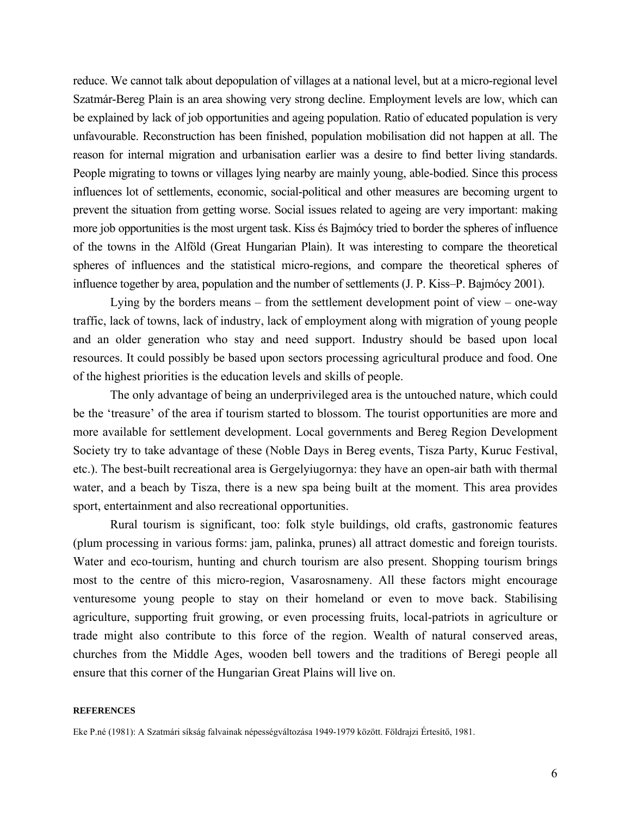reduce. We cannot talk about depopulation of villages at a national level, but at a micro-regional level Szatmár-Bereg Plain is an area showing very strong decline. Employment levels are low, which can be explained by lack of job opportunities and ageing population. Ratio of educated population is very unfavourable. Reconstruction has been finished, population mobilisation did not happen at all. The reason for internal migration and urbanisation earlier was a desire to find better living standards. People migrating to towns or villages lying nearby are mainly young, able-bodied. Since this process influences lot of settlements, economic, social-political and other measures are becoming urgent to prevent the situation from getting worse. Social issues related to ageing are very important: making more job opportunities is the most urgent task. Kiss és Bajmócy tried to border the spheres of influence of the towns in the Alföld (Great Hungarian Plain). It was interesting to compare the theoretical spheres of influences and the statistical micro-regions, and compare the theoretical spheres of influence together by area, population and the number of settlements (J. P. Kiss–P. Bajmócy 2001).

 Lying by the borders means – from the settlement development point of view – one-way traffic, lack of towns, lack of industry, lack of employment along with migration of young people and an older generation who stay and need support. Industry should be based upon local resources. It could possibly be based upon sectors processing agricultural produce and food. One of the highest priorities is the education levels and skills of people.

 The only advantage of being an underprivileged area is the untouched nature, which could be the 'treasure' of the area if tourism started to blossom. The tourist opportunities are more and more available for settlement development. Local governments and Bereg Region Development Society try to take advantage of these (Noble Days in Bereg events, Tisza Party, Kuruc Festival, etc.). The best-built recreational area is Gergelyiugornya: they have an open-air bath with thermal water, and a beach by Tisza, there is a new spa being built at the moment. This area provides sport, entertainment and also recreational opportunities.

 Rural tourism is significant, too: folk style buildings, old crafts, gastronomic features (plum processing in various forms: jam, palinka, prunes) all attract domestic and foreign tourists. Water and eco-tourism, hunting and church tourism are also present. Shopping tourism brings most to the centre of this micro-region, Vasarosnameny. All these factors might encourage venturesome young people to stay on their homeland or even to move back. Stabilising agriculture, supporting fruit growing, or even processing fruits, local-patriots in agriculture or trade might also contribute to this force of the region. Wealth of natural conserved areas, churches from the Middle Ages, wooden bell towers and the traditions of Beregi people all ensure that this corner of the Hungarian Great Plains will live on.

#### **REFERENCES**

Eke P.né (1981): A Szatmári síkság falvainak népességváltozása 1949-1979 között. Földrajzi Értesítő, 1981.